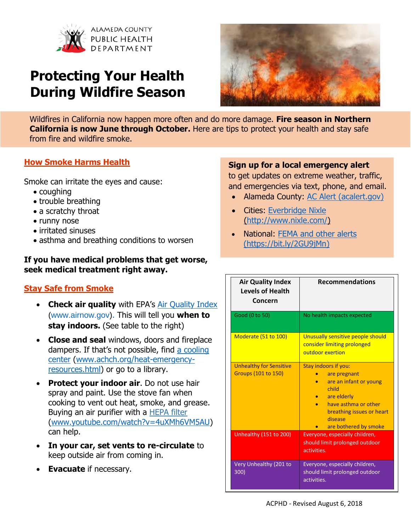

# **Protecting Your Health During Wildfire Season**



Wildfires in California now happen more often and do more damage. **Fire season in Northern California is now June through October.** Here are tips to protect your health and stay safe from fire and wildfire smoke.

### **How Smoke Harms Health**

Smoke can irritate the eyes and cause:

- coughing
- trouble breathing
- a scratchy throat
- runny nose
- irritated sinuses
- asthma and breathing conditions to worsen

#### **If you have medical problems that get worse, seek medical treatment right away.**

# **Stay Safe from Smoke**

- **Check air quality** with EPA's [Air Quality Index](http://www.sparetheair.org/Stay-Informed/Todays-Air-Quality/Air-Quality-Index.aspx) [\(www.airnow.gov\)](http://www.airnow.gov/). This will tell you **when to stay indoors.** (See table to the right)
- **Close and seal** windows, doors and fireplace dampers. If that's not possible, find [a cooling](https://www.achch.org/heat-emergency-resources.html)  [center](https://www.achch.org/heat-emergency-resources.html) [\(www.achch.org/heat-emergency](http://www.achch.org/heat-emergency-resources.html)[resources.html\)](http://www.achch.org/heat-emergency-resources.html) or go to a library.
- **Protect your indoor air**. Do not use hair spray and paint. Use the stove fan when cooking to vent out heat, smoke, and grease. Buying an air purifier with a [HEPA filter](https://bit.ly/2zAwAn5) [\(www.youtube.com/watch?v=4uXMh6VM5AU\)](http://www.youtube.com/watch?v=4uXMh6VM5AU) can help.
- **In your car, set vents to re-circulate** to keep outside air from coming in.
- **Evacuate** if necessary.

#### **Sign up for a local emergency alert**

to get updates on extreme weather, traffic, and emergencies via text, phone, and email.

- Alameda County: [AC Alert](https://member.everbridge.net/index/453003085612570#/login) [\(acalert.gov\)](https://member.everbridge.net/index/453003085612570#/login)
- Cities: [Everbridge Nixle](http://www.nixle.com/) [\(http://www.nixle.com/\)](http://www.nixle.com/)
- National: [FEMA and other alerts](https://www.fema.gov/media-library-data/1501683109074-e9d782b7d63087c6f735c73c234a1e53/Know_Alerts_and_Warnings_508.pdf) [\(https://bit.ly/2GU9jMn\)](https://bit.ly/2GU9jMn)

| <b>Air Quality Index</b><br><b>Levels of Health</b><br>Concern | <b>Recommendations</b>                                                                                                                                                          |
|----------------------------------------------------------------|---------------------------------------------------------------------------------------------------------------------------------------------------------------------------------|
| Good (0 to 50)                                                 | No health impacts expected                                                                                                                                                      |
| Moderate (51 to 100)                                           | Unusually sensitive people should<br>consider limiting prolonged<br>outdoor exertion                                                                                            |
| <b>Unhealthy for Sensitive</b><br><b>Groups (101 to 150)</b>   | Stay indoors if you:<br>are pregnant<br>are an infant or young<br>child<br>are elderly<br>have asthma or other<br>breathing issues or heart<br>disease<br>are bothered by smoke |
| Unhealthy (151 to 200)                                         | Everyone, especially children,<br>should limit prolonged outdoor<br>activities.                                                                                                 |
| Very Unhealthy (201 to<br>300)                                 | Everyone, especially children,<br>should limit prolonged outdoor<br>activities.                                                                                                 |